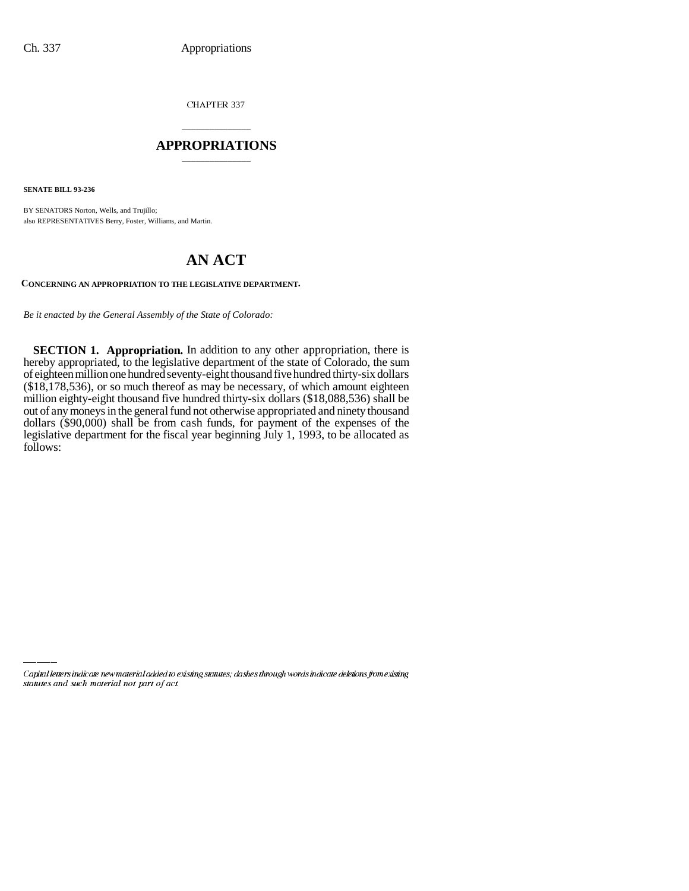CHAPTER 337

## \_\_\_\_\_\_\_\_\_\_\_\_\_\_\_ **APPROPRIATIONS** \_\_\_\_\_\_\_\_\_\_\_\_\_\_\_

**SENATE BILL 93-236**

BY SENATORS Norton, Wells, and Trujillo; also REPRESENTATIVES Berry, Foster, Williams, and Martin.

## **AN ACT**

**CONCERNING AN APPROPRIATION TO THE LEGISLATIVE DEPARTMENT.**

*Be it enacted by the General Assembly of the State of Colorado:*

**SECTION 1. Appropriation.** In addition to any other appropriation, there is hereby appropriated, to the legislative department of the state of Colorado, the sum of eighteen million one hundred seventy-eight thousand five hundred thirty-six dollars (\$18,178,536), or so much thereof as may be necessary, of which amount eighteen million eighty-eight thousand five hundred thirty-six dollars (\$18,088,536) shall be out of any moneys in the general fund not otherwise appropriated and ninety thousand dollars (\$90,000) shall be from cash funds, for payment of the expenses of the legislative department for the fiscal year beginning July 1, 1993, to be allocated as follows:

Capital letters indicate new material added to existing statutes; dashes through words indicate deletions from existing statutes and such material not part of act.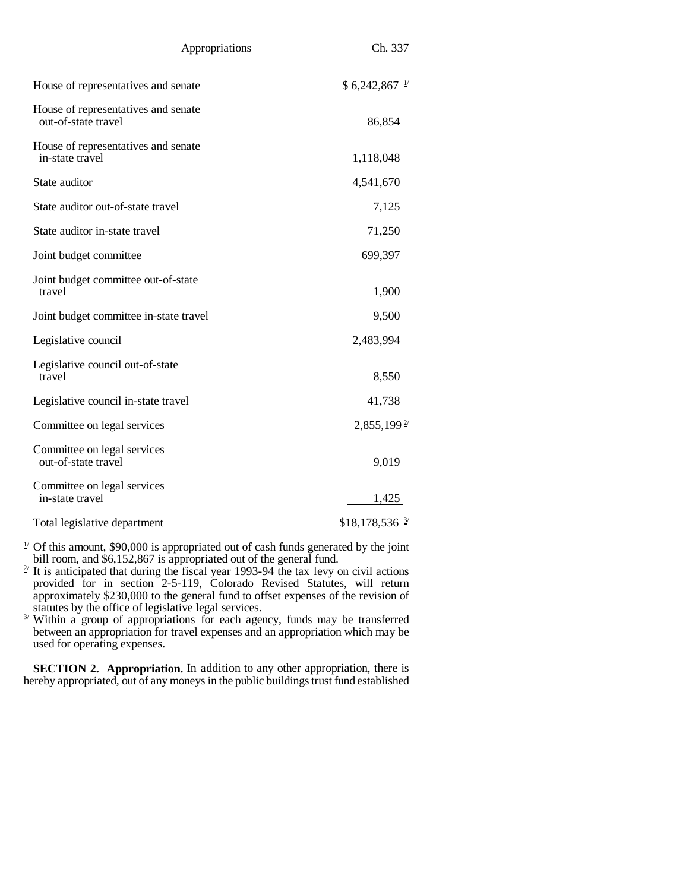| Appropriations                                             | Ch. 337                   |
|------------------------------------------------------------|---------------------------|
| House of representatives and senate                        | $$6,242,867$ $^{1/2}$     |
| House of representatives and senate<br>out-of-state travel | 86,854                    |
| House of representatives and senate<br>in-state travel     | 1,118,048                 |
| State auditor                                              | 4,541,670                 |
| State auditor out-of-state travel                          | 7,125                     |
| State auditor in-state travel                              | 71,250                    |
| Joint budget committee                                     | 699,397                   |
| Joint budget committee out-of-state<br>travel              | 1,900                     |
| Joint budget committee in-state travel                     | 9,500                     |
| Legislative council                                        | 2,483,994                 |
| Legislative council out-of-state<br>travel                 | 8,550                     |
| Legislative council in-state travel                        | 41,738                    |
| Committee on legal services                                | $2,855,199^{\frac{2}{5}}$ |
| Committee on legal services<br>out-of-state travel         | 9,019                     |
| Committee on legal services<br>in-state travel             | 1,425                     |
| Total legislative department                               | $$18,178,536 \frac{3}{2}$ |

 $1/2$  Of this amount, \$90,000 is appropriated out of cash funds generated by the joint

- bill room, and \$6,152,867 is appropriated out of the general fund.<br><sup>2/</sup> It is anticipated that during the fiscal year 1993-94 the tax levy on civil actions provided for in section 2-5-119, Colorado Revised Statutes, will return approximately \$230,000 to the general fund to offset expenses of the revision of statutes by the office of legislative legal services.<br><sup>3/</sup> Within a group of appropriations for each agency, funds may be transferred
- between an appropriation for travel expenses and an appropriation which may be used for operating expenses.

**SECTION 2. Appropriation.** In addition to any other appropriation, there is hereby appropriated, out of any moneys in the public buildings trust fund established